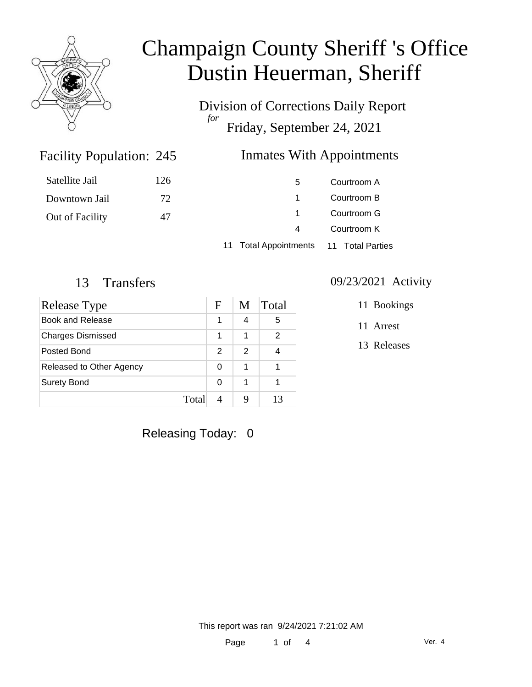

Division of Corrections Daily Report *for* Friday, September 24, 2021

### Facility Population: 245

### Inmates With Appointments

| Satellite Jail  | 126 | 5                                      | Courtroom A |
|-----------------|-----|----------------------------------------|-------------|
| Downtown Jail   | 72  |                                        | Courtroom B |
| Out of Facility | 47  |                                        | Courtroom G |
|                 |     | 4                                      | Courtroom K |
|                 |     | 11 Total Appointments 11 Total Parties |             |

| Release Type             | F | M | Total |
|--------------------------|---|---|-------|
| Book and Release         |   | 4 | 5     |
| <b>Charges Dismissed</b> | 1 | 1 | 2     |
| Posted Bond              | 2 | 2 |       |
| Released to Other Agency | 0 | 1 |       |
| <b>Surety Bond</b>       | 0 | 1 |       |
| Total                    |   |   | 13    |

### 13 Transfers 09/23/2021 Activity

11 Bookings

11 Arrest

13 Releases

Releasing Today: 0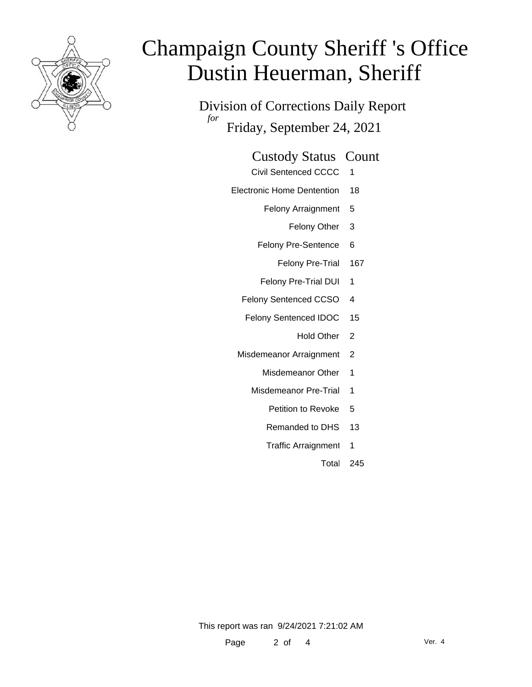

Division of Corrections Daily Report *for* Friday, September 24, 2021

### Custody Status Count

- Civil Sentenced CCCC 1
- Electronic Home Dentention 18
	- Felony Arraignment 5
		- Felony Other 3
	- Felony Pre-Sentence 6
		- Felony Pre-Trial 167
	- Felony Pre-Trial DUI 1
	- Felony Sentenced CCSO 4
	- Felony Sentenced IDOC 15
		- Hold Other 2
	- Misdemeanor Arraignment 2
		- Misdemeanor Other 1
		- Misdemeanor Pre-Trial 1
			- Petition to Revoke 5
			- Remanded to DHS 13
			- Traffic Arraignment 1
				- Total 245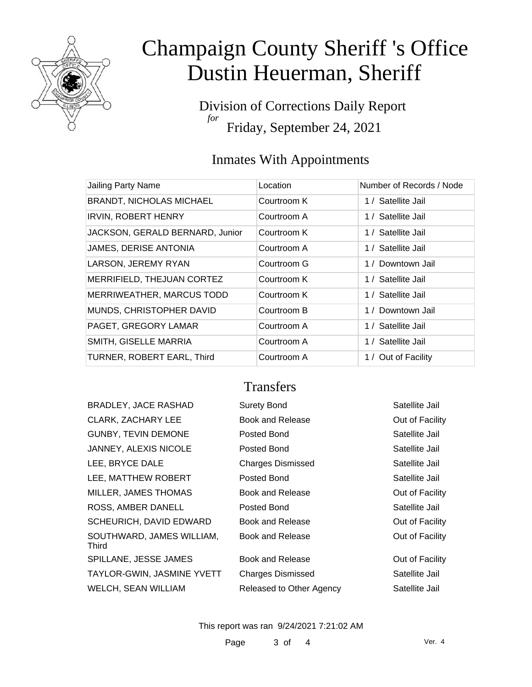

Division of Corrections Daily Report *for* Friday, September 24, 2021

## Inmates With Appointments

| Jailing Party Name              | Location    | Number of Records / Node |
|---------------------------------|-------------|--------------------------|
| <b>BRANDT, NICHOLAS MICHAEL</b> | Courtroom K | 1 / Satellite Jail       |
| <b>IRVIN, ROBERT HENRY</b>      | Courtroom A | 1 / Satellite Jail       |
| JACKSON, GERALD BERNARD, Junior | Courtroom K | 1 / Satellite Jail       |
| JAMES, DERISE ANTONIA           | Courtroom A | 1 / Satellite Jail       |
| LARSON, JEREMY RYAN             | Courtroom G | 1 / Downtown Jail        |
| MERRIFIELD, THEJUAN CORTEZ      | Courtroom K | 1 / Satellite Jail       |
| MERRIWEATHER, MARCUS TODD       | Courtroom K | 1 / Satellite Jail       |
| MUNDS, CHRISTOPHER DAVID        | Courtroom B | 1 / Downtown Jail        |
| PAGET, GREGORY LAMAR            | Courtroom A | 1 / Satellite Jail       |
| SMITH, GISELLE MARRIA           | Courtroom A | 1 / Satellite Jail       |
| TURNER, ROBERT EARL, Third      | Courtroom A | 1 / Out of Facility      |

### **Transfers**

| <b>BRADLEY, JACE RASHAD</b>        | <b>Surety Bond</b>       | Satellite Jail  |
|------------------------------------|--------------------------|-----------------|
| <b>CLARK, ZACHARY LEE</b>          | Book and Release         | Out of Facility |
| <b>GUNBY, TEVIN DEMONE</b>         | Posted Bond              | Satellite Jail  |
| JANNEY, ALEXIS NICOLE              | Posted Bond              | Satellite Jail  |
| LEE, BRYCE DALE                    | <b>Charges Dismissed</b> | Satellite Jail  |
| LEE, MATTHEW ROBERT                | Posted Bond              | Satellite Jail  |
| MILLER, JAMES THOMAS               | Book and Release         | Out of Facility |
| ROSS, AMBER DANELL                 | Posted Bond              | Satellite Jail  |
| SCHEURICH, DAVID EDWARD            | Book and Release         | Out of Facility |
| SOUTHWARD, JAMES WILLIAM,<br>Third | Book and Release         | Out of Facility |
| SPILLANE, JESSE JAMES              | Book and Release         | Out of Facility |
| TAYLOR-GWIN, JASMINE YVETT         | <b>Charges Dismissed</b> | Satellite Jail  |
| <b>WELCH, SEAN WILLIAM</b>         | Released to Other Agency | Satellite Jail  |

This report was ran 9/24/2021 7:21:02 AM